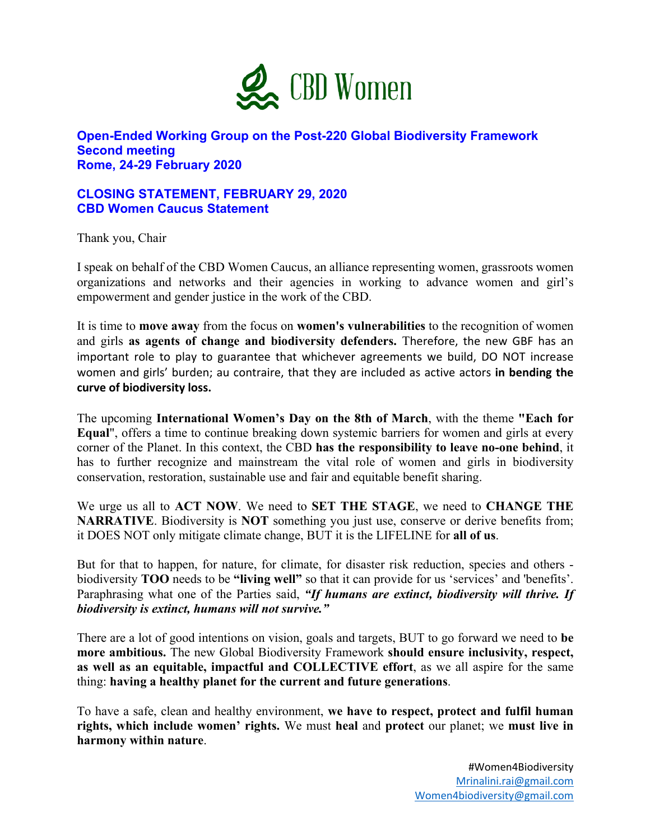

## **Open-Ended Working Group on the Post-220 Global Biodiversity Framework Second meeting Rome, 24-29 February 2020**

## **CLOSING STATEMENT, FEBRUARY 29, 2020 CBD Women Caucus Statement**

Thank you, Chair

I speak on behalf of the CBD Women Caucus, an alliance representing women, grassroots women organizations and networks and their agencies in working to advance women and girl's empowerment and gender justice in the work of the CBD.

It is time to **move away** from the focus on **women's vulnerabilities** to the recognition of women and girls **as agents of change and biodiversity defenders.** Therefore, the new GBF has an important role to play to guarantee that whichever agreements we build, DO NOT increase women and girls' burden; au contraire, that they are included as active actors **in bending the curve of biodiversity loss.**

The upcoming **International Women's Day on the 8th of March**, with the theme **"Each for Equal**", offers a time to continue breaking down systemic barriers for women and girls at every corner of the Planet. In this context, the CBD **has the responsibility to leave no-one behind**, it has to further recognize and mainstream the vital role of women and girls in biodiversity conservation, restoration, sustainable use and fair and equitable benefit sharing.

We urge us all to **ACT NOW**. We need to **SET THE STAGE**, we need to **CHANGE THE NARRATIVE**. Biodiversity is **NOT** something you just use, conserve or derive benefits from; it DOES NOT only mitigate climate change, BUT it is the LIFELINE for **all of us**.

But for that to happen, for nature, for climate, for disaster risk reduction, species and others biodiversity **TOO** needs to be **"living well"** so that it can provide for us 'services' and 'benefits'. Paraphrasing what one of the Parties said, *"If humans are extinct, biodiversity will thrive. If biodiversity is extinct, humans will not survive."*

There are a lot of good intentions on vision, goals and targets, BUT to go forward we need to **be more ambitious.** The new Global Biodiversity Framework **should ensure inclusivity, respect, as well as an equitable, impactful and COLLECTIVE effort**, as we all aspire for the same thing: **having a healthy planet for the current and future generations**.

To have a safe, clean and healthy environment, **we have to respect, protect and fulfil human rights, which include women' rights.** We must **heal** and **protect** our planet; we **must live in harmony within nature**.